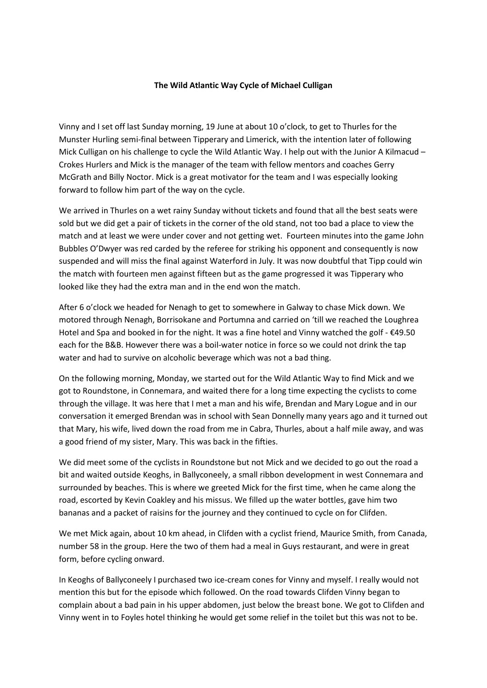## **The Wild Atlantic Way Cycle of Michael Culligan**

Vinny and I set off last Sunday morning, 19 June at about 10 o'clock, to get to Thurles for the Munster Hurling semi-final between Tipperary and Limerick, with the intention later of following Mick Culligan on his challenge to cycle the Wild Atlantic Way. I help out with the Junior A Kilmacud – Crokes Hurlers and Mick is the manager of the team with fellow mentors and coaches Gerry McGrath and Billy Noctor. Mick is a great motivator for the team and I was especially looking forward to follow him part of the way on the cycle.

We arrived in Thurles on a wet rainy Sunday without tickets and found that all the best seats were sold but we did get a pair of tickets in the corner of the old stand, not too bad a place to view the match and at least we were under cover and not getting wet. Fourteen minutes into the game John Bubbles O'Dwyer was red carded by the referee for striking his opponent and consequently is now suspended and will miss the final against Waterford in July. It was now doubtful that Tipp could win the match with fourteen men against fifteen but as the game progressed it was Tipperary who looked like they had the extra man and in the end won the match.

After 6 o'clock we headed for Nenagh to get to somewhere in Galway to chase Mick down. We motored through Nenagh, Borrisokane and Portumna and carried on 'till we reached the Loughrea Hotel and Spa and booked in for the night. It was a fine hotel and Vinny watched the golf - €49.50 each for the B&B. However there was a boil-water notice in force so we could not drink the tap water and had to survive on alcoholic beverage which was not a bad thing.

On the following morning, Monday, we started out for the Wild Atlantic Way to find Mick and we got to Roundstone, in Connemara, and waited there for a long time expecting the cyclists to come through the village. It was here that I met a man and his wife, Brendan and Mary Logue and in our conversation it emerged Brendan was in school with Sean Donnelly many years ago and it turned out that Mary, his wife, lived down the road from me in Cabra, Thurles, about a half mile away, and was a good friend of my sister, Mary. This was back in the fifties.

We did meet some of the cyclists in Roundstone but not Mick and we decided to go out the road a bit and waited outside Keoghs, in Ballyconeely, a small ribbon development in west Connemara and surrounded by beaches. This is where we greeted Mick for the first time, when he came along the road, escorted by Kevin Coakley and his missus. We filled up the water bottles, gave him two bananas and a packet of raisins for the journey and they continued to cycle on for Clifden.

We met Mick again, about 10 km ahead, in Clifden with a cyclist friend, Maurice Smith, from Canada, number 58 in the group. Here the two of them had a meal in Guys restaurant, and were in great form, before cycling onward.

In Keoghs of Ballyconeely I purchased two ice-cream cones for Vinny and myself. I really would not mention this but for the episode which followed. On the road towards Clifden Vinny began to complain about a bad pain in his upper abdomen, just below the breast bone. We got to Clifden and Vinny went in to Foyles hotel thinking he would get some relief in the toilet but this was not to be.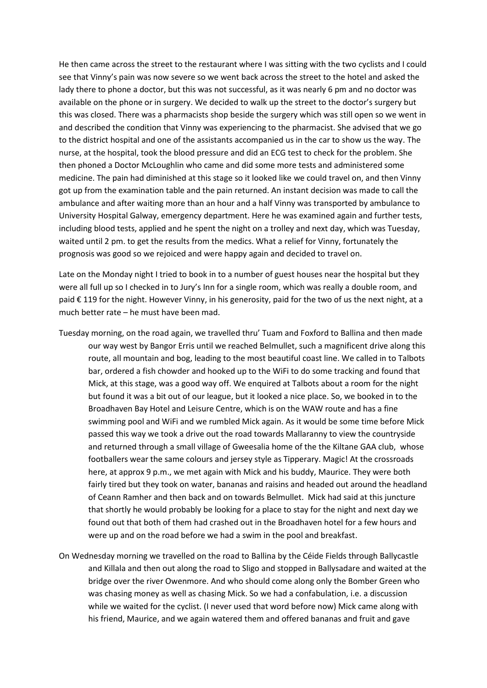He then came across the street to the restaurant where I was sitting with the two cyclists and I could see that Vinny's pain was now severe so we went back across the street to the hotel and asked the lady there to phone a doctor, but this was not successful, as it was nearly 6 pm and no doctor was available on the phone or in surgery. We decided to walk up the street to the doctor's surgery but this was closed. There was a pharmacists shop beside the surgery which was still open so we went in and described the condition that Vinny was experiencing to the pharmacist. She advised that we go to the district hospital and one of the assistants accompanied us in the car to show us the way. The nurse, at the hospital, took the blood pressure and did an ECG test to check for the problem. She then phoned a Doctor McLoughlin who came and did some more tests and administered some medicine. The pain had diminished at this stage so it looked like we could travel on, and then Vinny got up from the examination table and the pain returned. An instant decision was made to call the ambulance and after waiting more than an hour and a half Vinny was transported by ambulance to University Hospital Galway, emergency department. Here he was examined again and further tests, including blood tests, applied and he spent the night on a trolley and next day, which was Tuesday, waited until 2 pm. to get the results from the medics. What a relief for Vinny, fortunately the prognosis was good so we rejoiced and were happy again and decided to travel on.

Late on the Monday night I tried to book in to a number of guest houses near the hospital but they were all full up so I checked in to Jury's Inn for a single room, which was really a double room, and paid € 119 for the night. However Vinny, in his generosity, paid for the two of us the next night, at a much better rate – he must have been mad.

- Tuesday morning, on the road again, we travelled thru' Tuam and Foxford to Ballina and then made our way west by Bangor Erris until we reached Belmullet, such a magnificent drive along this route, all mountain and bog, leading to the most beautiful coast line. We called in to Talbots bar, ordered a fish chowder and hooked up to the WiFi to do some tracking and found that Mick, at this stage, was a good way off. We enquired at Talbots about a room for the night but found it was a bit out of our league, but it looked a nice place. So, we booked in to the Broadhaven Bay Hotel and Leisure Centre, which is on the WAW route and has a fine swimming pool and WiFi and we rumbled Mick again. As it would be some time before Mick passed this way we took a drive out the road towards Mallaranny to view the countryside and returned through a small village of Gweesalia home of the the Kiltane GAA club, whose footballers wear the same colours and jersey style as Tipperary. Magic! At the crossroads here, at approx 9 p.m., we met again with Mick and his buddy, Maurice. They were both fairly tired but they took on water, bananas and raisins and headed out around the headland of Ceann Ramher and then back and on towards Belmullet. Mick had said at this juncture that shortly he would probably be looking for a place to stay for the night and next day we found out that both of them had crashed out in the Broadhaven hotel for a few hours and were up and on the road before we had a swim in the pool and breakfast.
- On Wednesday morning we travelled on the road to Ballina by the Céide Fields through Ballycastle and Killala and then out along the road to Sligo and stopped in Ballysadare and waited at the bridge over the river Owenmore. And who should come along only the Bomber Green who was chasing money as well as chasing Mick. So we had a confabulation, i.e. a discussion while we waited for the cyclist. (I never used that word before now) Mick came along with his friend, Maurice, and we again watered them and offered bananas and fruit and gave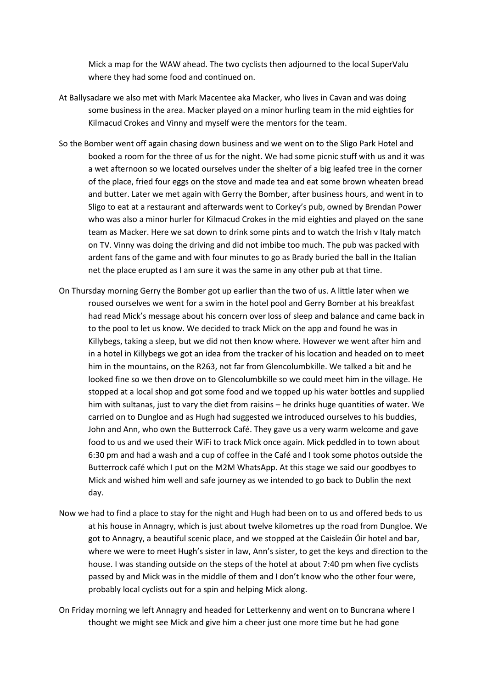Mick a map for the WAW ahead. The two cyclists then adjourned to the local SuperValu where they had some food and continued on.

- At Ballysadare we also met with Mark Macentee aka Macker, who lives in Cavan and was doing some business in the area. Macker played on a minor hurling team in the mid eighties for Kilmacud Crokes and Vinny and myself were the mentors for the team.
- So the Bomber went off again chasing down business and we went on to the Sligo Park Hotel and booked a room for the three of us for the night. We had some picnic stuff with us and it was a wet afternoon so we located ourselves under the shelter of a big leafed tree in the corner of the place, fried four eggs on the stove and made tea and eat some brown wheaten bread and butter. Later we met again with Gerry the Bomber, after business hours, and went in to Sligo to eat at a restaurant and afterwards went to Corkey's pub, owned by Brendan Power who was also a minor hurler for Kilmacud Crokes in the mid eighties and played on the sane team as Macker. Here we sat down to drink some pints and to watch the Irish v Italy match on TV. Vinny was doing the driving and did not imbibe too much. The pub was packed with ardent fans of the game and with four minutes to go as Brady buried the ball in the Italian net the place erupted as I am sure it was the same in any other pub at that time.
- On Thursday morning Gerry the Bomber got up earlier than the two of us. A little later when we roused ourselves we went for a swim in the hotel pool and Gerry Bomber at his breakfast had read Mick's message about his concern over loss of sleep and balance and came back in to the pool to let us know. We decided to track Mick on the app and found he was in Killybegs, taking a sleep, but we did not then know where. However we went after him and in a hotel in Killybegs we got an idea from the tracker of his location and headed on to meet him in the mountains, on the R263, not far from Glencolumbkille. We talked a bit and he looked fine so we then drove on to Glencolumbkille so we could meet him in the village. He stopped at a local shop and got some food and we topped up his water bottles and supplied him with sultanas, just to vary the diet from raisins – he drinks huge quantities of water. We carried on to Dungloe and as Hugh had suggested we introduced ourselves to his buddies, John and Ann, who own the Butterrock Café. They gave us a very warm welcome and gave food to us and we used their WiFi to track Mick once again. Mick peddled in to town about 6:30 pm and had a wash and a cup of coffee in the Café and I took some photos outside the Butterrock café which I put on the M2M WhatsApp. At this stage we said our goodbyes to Mick and wished him well and safe journey as we intended to go back to Dublin the next day.
- Now we had to find a place to stay for the night and Hugh had been on to us and offered beds to us at his house in Annagry, which is just about twelve kilometres up the road from Dungloe. We got to Annagry, a beautiful scenic place, and we stopped at the Caisleáin Óir hotel and bar, where we were to meet Hugh's sister in law, Ann's sister, to get the keys and direction to the house. I was standing outside on the steps of the hotel at about 7:40 pm when five cyclists passed by and Mick was in the middle of them and I don't know who the other four were, probably local cyclists out for a spin and helping Mick along.
- On Friday morning we left Annagry and headed for Letterkenny and went on to Buncrana where I thought we might see Mick and give him a cheer just one more time but he had gone